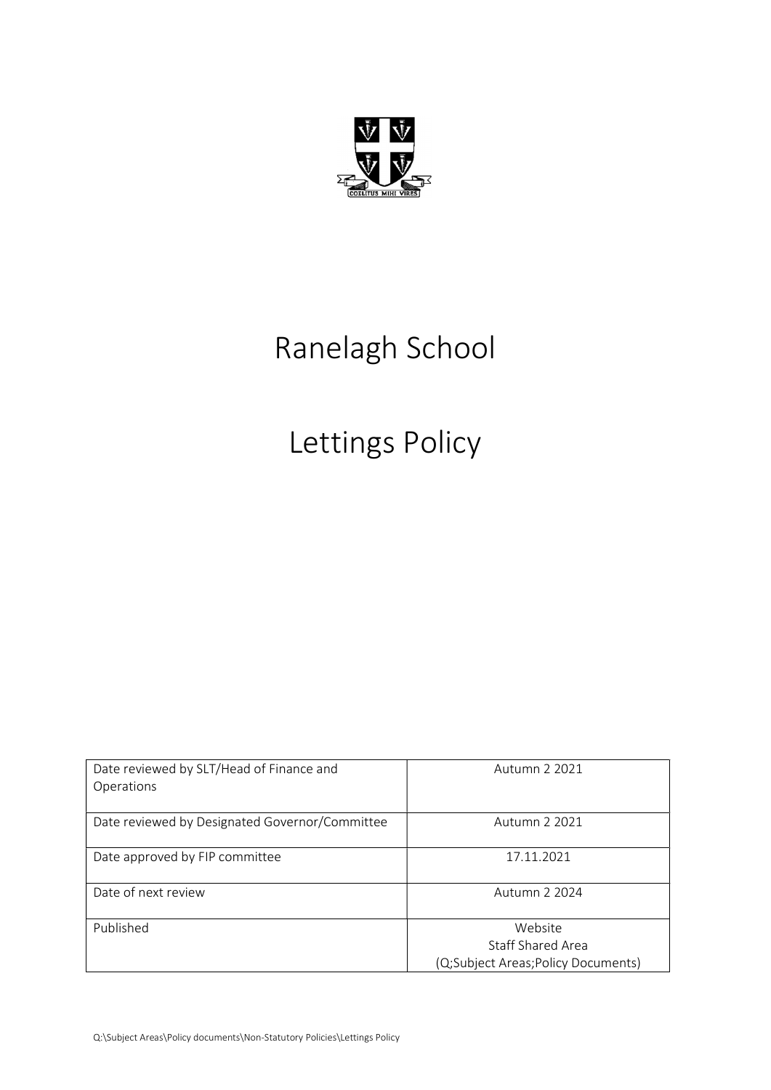

# Ranelagh School

# Lettings Policy

| Date reviewed by SLT/Head of Finance and<br>Operations | Autumn 2 2021                                                      |
|--------------------------------------------------------|--------------------------------------------------------------------|
| Date reviewed by Designated Governor/Committee         | Autumn 2 2021                                                      |
| Date approved by FIP committee                         | 17.11.2021                                                         |
| Date of next review                                    | Autumn 2 2024                                                      |
| Published                                              | Website<br>Staff Shared Area<br>(Q;Subject Areas;Policy Documents) |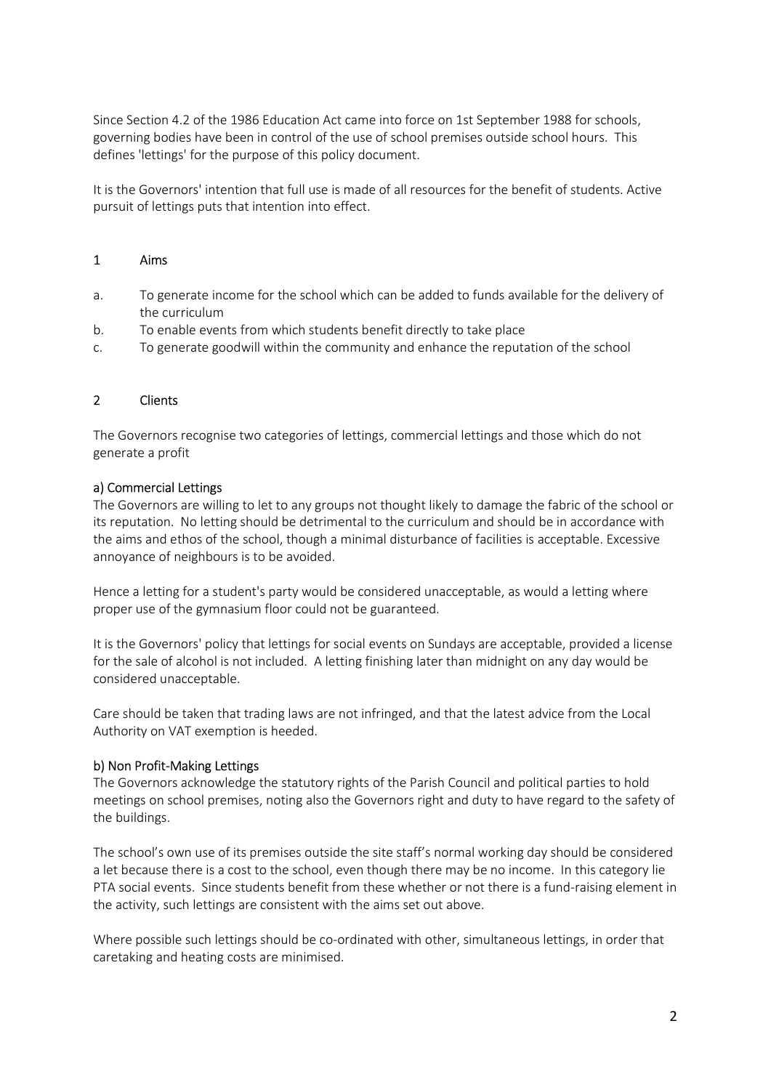Since Section 4.2 of the 1986 Education Act came into force on 1st September 1988 for schools, governing bodies have been in control of the use of school premises outside school hours. This defines 'lettings' for the purpose of this policy document.

It is the Governors' intention that full use is made of all resources for the benefit of students. Active pursuit of lettings puts that intention into effect.

## 1 Aims

- a. To generate income for the school which can be added to funds available for the delivery of the curriculum
- b. To enable events from which students benefit directly to take place
- c. To generate goodwill within the community and enhance the reputation of the school

### 2 Clients

The Governors recognise two categories of lettings, commercial lettings and those which do not generate a profit

### a) Commercial Lettings

The Governors are willing to let to any groups not thought likely to damage the fabric of the school or its reputation. No letting should be detrimental to the curriculum and should be in accordance with the aims and ethos of the school, though a minimal disturbance of facilities is acceptable. Excessive annoyance of neighbours is to be avoided.

Hence a letting for a student's party would be considered unacceptable, as would a letting where proper use of the gymnasium floor could not be guaranteed.

It is the Governors' policy that lettings for social events on Sundays are acceptable, provided a license for the sale of alcohol is not included. A letting finishing later than midnight on any day would be considered unacceptable.

Care should be taken that trading laws are not infringed, and that the latest advice from the Local Authority on VAT exemption is heeded.

### b) Non Profit-Making Lettings

The Governors acknowledge the statutory rights of the Parish Council and political parties to hold meetings on school premises, noting also the Governors right and duty to have regard to the safety of the buildings.

The school's own use of its premises outside the site staff's normal working day should be considered a let because there is a cost to the school, even though there may be no income. In this category lie PTA social events. Since students benefit from these whether or not there is a fund-raising element in the activity, such lettings are consistent with the aims set out above.

Where possible such lettings should be co-ordinated with other, simultaneous lettings, in order that caretaking and heating costs are minimised.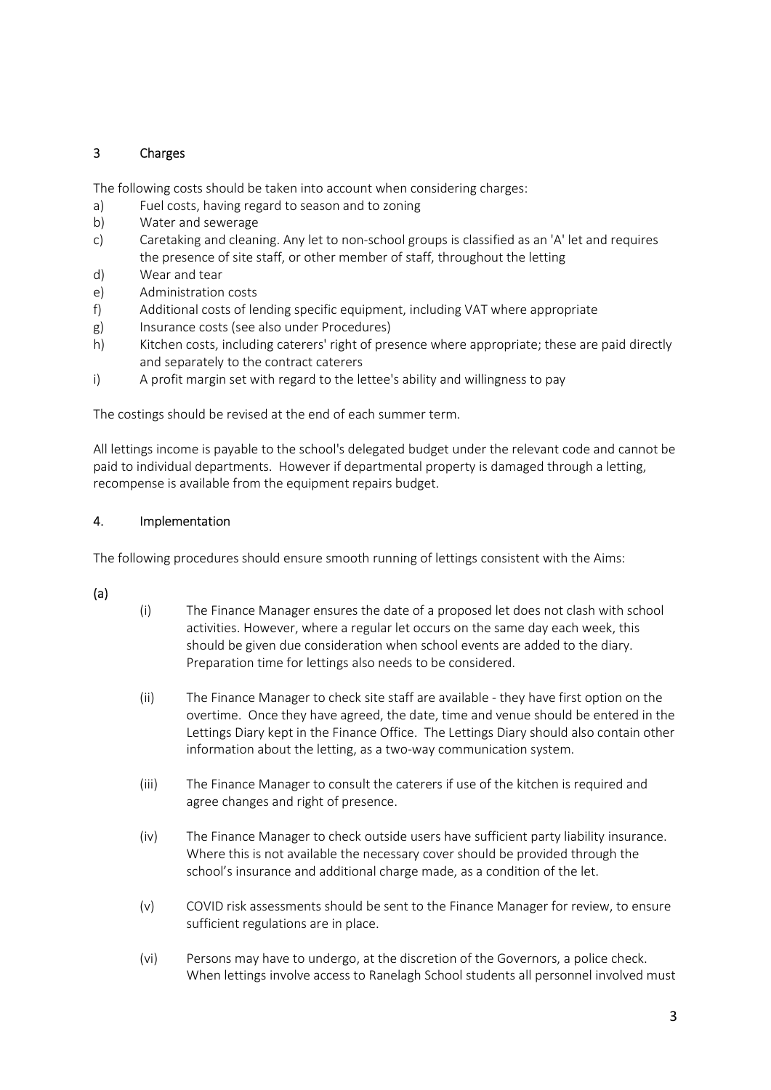## 3 Charges

The following costs should be taken into account when considering charges:

- a) Fuel costs, having regard to season and to zoning
- b) Water and sewerage
- c) Caretaking and cleaning. Any let to non-school groups is classified as an 'A' let and requires the presence of site staff, or other member of staff, throughout the letting
- d) Wear and tear
- e) Administration costs
- f) Additional costs of lending specific equipment, including VAT where appropriate
- g) Insurance costs (see also under Procedures)
- h) Kitchen costs, including caterers' right of presence where appropriate; these are paid directly and separately to the contract caterers
- i) A profit margin set with regard to the lettee's ability and willingness to pay

The costings should be revised at the end of each summer term.

All lettings income is payable to the school's delegated budget under the relevant code and cannot be paid to individual departments. However if departmental property is damaged through a letting, recompense is available from the equipment repairs budget.

## 4. Implementation

The following procedures should ensure smooth running of lettings consistent with the Aims:

## (a)

- (i) The Finance Manager ensures the date of a proposed let does not clash with school activities. However, where a regular let occurs on the same day each week, this should be given due consideration when school events are added to the diary. Preparation time for lettings also needs to be considered.
- (ii) The Finance Manager to check site staff are available they have first option on the overtime. Once they have agreed, the date, time and venue should be entered in the Lettings Diary kept in the Finance Office. The Lettings Diary should also contain other information about the letting, as a two-way communication system.
- (iii) The Finance Manager to consult the caterers if use of the kitchen is required and agree changes and right of presence.
- (iv) The Finance Manager to check outside users have sufficient party liability insurance. Where this is not available the necessary cover should be provided through the school's insurance and additional charge made, as a condition of the let.
- (v) COVID risk assessments should be sent to the Finance Manager for review, to ensure sufficient regulations are in place.
- (vi) Persons may have to undergo, at the discretion of the Governors, a police check. When lettings involve access to Ranelagh School students all personnel involved must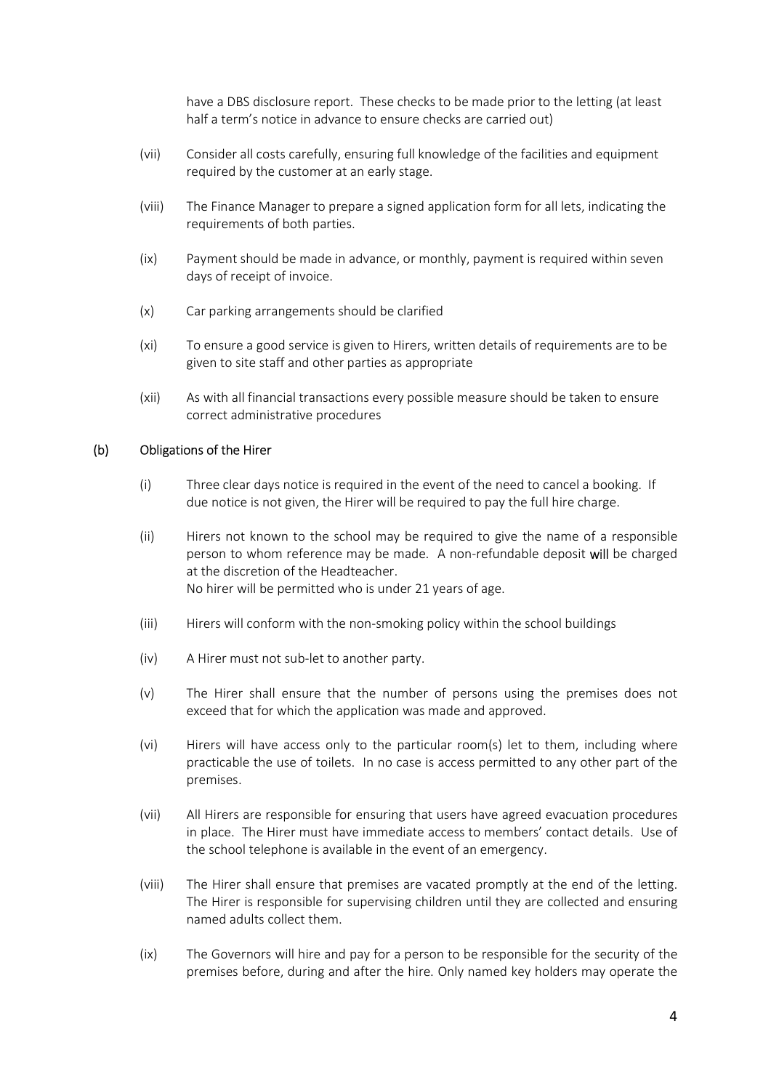have a DBS disclosure report. These checks to be made prior to the letting (at least half a term's notice in advance to ensure checks are carried out)

- (vii) Consider all costs carefully, ensuring full knowledge of the facilities and equipment required by the customer at an early stage.
- (viii) The Finance Manager to prepare a signed application form for all lets, indicating the requirements of both parties.
- (ix) Payment should be made in advance, or monthly, payment is required within seven days of receipt of invoice.
- (x) Car parking arrangements should be clarified
- (xi) To ensure a good service is given to Hirers, written details of requirements are to be given to site staff and other parties as appropriate
- (xii) As with all financial transactions every possible measure should be taken to ensure correct administrative procedures

### (b) Obligations of the Hirer

- (i) Three clear days notice is required in the event of the need to cancel a booking. If due notice is not given, the Hirer will be required to pay the full hire charge.
- (ii) Hirers not known to the school may be required to give the name of a responsible person to whom reference may be made. A non-refundable deposit will be charged at the discretion of the Headteacher. No hirer will be permitted who is under 21 years of age.
- (iii) Hirers will conform with the non-smoking policy within the school buildings
- (iv) A Hirer must not sub-let to another party.
- (v) The Hirer shall ensure that the number of persons using the premises does not exceed that for which the application was made and approved.
- (vi) Hirers will have access only to the particular room(s) let to them, including where practicable the use of toilets. In no case is access permitted to any other part of the premises.
- (vii) All Hirers are responsible for ensuring that users have agreed evacuation procedures in place. The Hirer must have immediate access to members' contact details. Use of the school telephone is available in the event of an emergency.
- (viii) The Hirer shall ensure that premises are vacated promptly at the end of the letting. The Hirer is responsible for supervising children until they are collected and ensuring named adults collect them.
- (ix) The Governors will hire and pay for a person to be responsible for the security of the premises before, during and after the hire. Only named key holders may operate the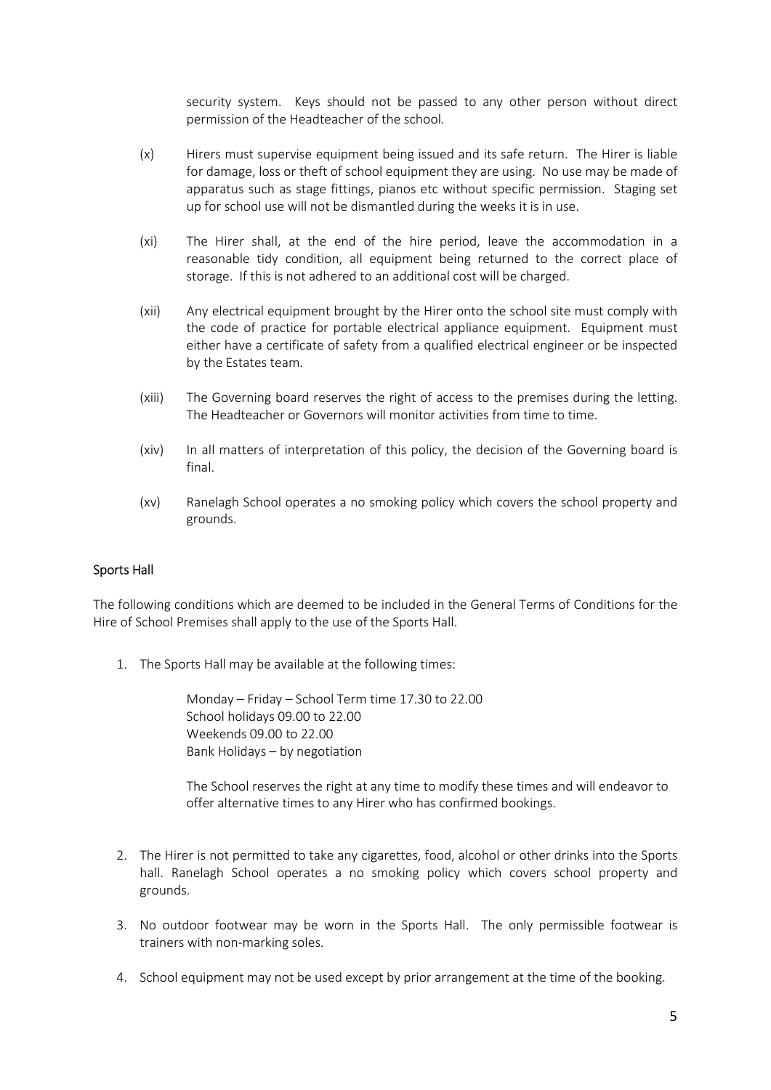security system. Keys should not be passed to any other person without direct permission of the Headteacher of the school.

- (x) Hirers must supervise equipment being issued and its safe return. The Hirer is liable for damage, loss or theft of school equipment they are using. No use may be made of apparatus such as stage fittings, pianos etc without specific permission. Staging set up for school use will not be dismantled during the weeks it is in use.
- (xi) The Hirer shall, at the end of the hire period, leave the accommodation in a reasonable tidy condition, all equipment being returned to the correct place of storage. If this is not adhered to an additional cost will be charged.
- (xii) Any electrical equipment brought by the Hirer onto the school site must comply with the code of practice for portable electrical appliance equipment. Equipment must either have a certificate of safety from a qualified electrical engineer or be inspected by the Estates team.
- (xiii) The Governing board reserves the right of access to the premises during the letting. The Headteacher or Governors will monitor activities from time to time.
- (xiv) In all matters of interpretation of this policy, the decision of the Governing board is final.
- (xv) Ranelagh School operates a no smoking policy which covers the school property and grounds.

### Sports Hall

The following conditions which are deemed to be included in the General Terms of Conditions for the Hire of School Premises shall apply to the use of the Sports Hall.

1. The Sports Hall may be available at the following times:

Monday – Friday – School Term time 17.30 to 22.00 School holidays 09.00 to 22.00 Weekends 09.00 to 22.00 Bank Holidays – by negotiation

The School reserves the right at any time to modify these times and will endeavor to offer alternative times to any Hirer who has confirmed bookings.

- 2. The Hirer is not permitted to take any cigarettes, food, alcohol or other drinks into the Sports hall. Ranelagh School operates a no smoking policy which covers school property and grounds.
- 3. No outdoor footwear may be worn in the Sports Hall. The only permissible footwear is trainers with non-marking soles.
- 4. School equipment may not be used except by prior arrangement at the time of the booking.